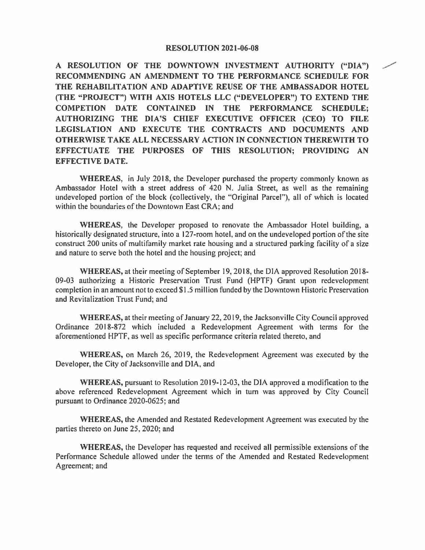## **RESOLUTION 2021-06-08**

**A RESOLUTION OF THE DOWNTOWN INVESTMENT AUTHORITY ("DIA")** / **RECOMMENDING AN AMENDMENT TO THE PERFORMANCE SCHEDULE FOR THE REHABILITATION AND ADAPTIVE REUSE OF THE AMBASSADOR HOTEL (THE "PROJECT") WITH AXIS HOTELS LLC ("DEVELOPER") TO EXTEND THE COMPETION DATE CONTAINED IN THE PERFORMANCE SCHEDULE; AUTHORIZING THE DIA'S CHIEF EXECUTIVE OFFICER (CEO) TO FILE LEGISLATION AND EXECUTE THE CONTRACTS AND DOCUMENTS AND OTHERWISE TAKE ALL NECESSARY ACTION IN CONNECTION THEREWITH TO EFFECTUATE THE PURPOSES OF THIS RESOLUTION; PROVIDING AN EFFECTIVE DATE.** 

**WHEREAS,** in July 2018, the Developer purchased the property commonly known as Ambassador Hotel with a street address of 420 N. Julia Street, as well as the remaining undeveloped portion of the block (collectively, the "Original Parcel"), all of which is located within the boundaries of the Downtown East CRA; and

**WHEREAS,** the Developer proposed to renovate the Ambassador Hotel building, a historically designated structure, into a 127-room hotel, and on the undeveloped portion of the site construct 200 units of multifamily market rate housing and a structured parking facility of a size and nature to serve both the hotel and the housing project; and

WHEREAS, at their meeting of September 19, 2018, the DIA approved Resolution 2018-09-03 authorizing a Historic Preservation Trust Fund (HPTF) Grant upon redevelopment completion in an amount not to exceed \$1.5 million funded by the Downtown Historic Preservation and Revitalization Trust Fund; and

**WHEREAS,** at their meeting of January 22, 2019, the Jacksonville City Council approved Ordinance 2018-872 which included a Redevelopment Agreement with terms for the aforementioned HPTF, as well as specific performance criteria related thereto, and

**WHEREAS,** on March 26, 2019, the Redevelopment Agreement was executed by the Developer, the City of Jacksonville and DIA, and

**WHEREAS,** pursuant to Resolution 2019-12-03, the DIA approved a modification to the above referenced Redevelopment Agreement which in tum was approved by City Council pursuant to Ordinance 2020-0625; and

**WHEREAS,** the Amended and Restated Redevelopment Agreement was executed by the parties thereto on June 25, 2020; and

**WHEREAS,** the Developer has requested and received all permissible extensions of the Performance Schedule allowed under the terms of the Amended and Restated Redevelopment Agreement; and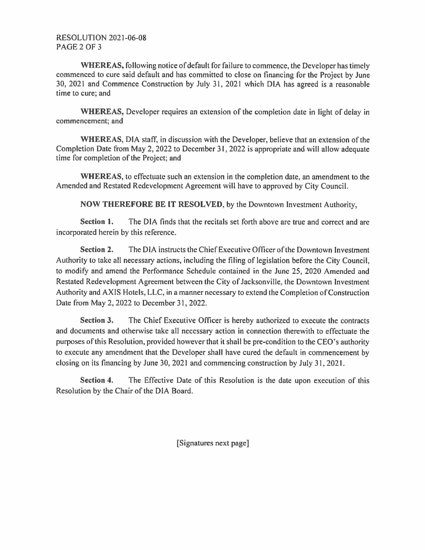RESOLUTION 2021-06-08 PAGE 2 OF 3

**WHEREAS,** following notice of default for failure to commence, the Developer has timely commenced to cure said default and has committed to close on financing for the Project by June 30, 2021 and Commence Construction by July 31, 2021 which DIA has agreed is a reasonable time to cure; and

**WHEREAS,** Developer requires an extension of the completion date in light of delay in commencement; and

**WHEREAS,** DIA staff, in discussion with the Developer, believe that an extension of the Completion Date from May 2, 2022 to December 31, 2022 is appropriate and will allow adequate time for completion of the Project; and

**WHEREAS,** to effectuate such an extension in the completion date, an amendment to the Amended and Restated Redevelopment Agreement will have to approved by City Council.

**NOW THEREFORE BE IT RESOLVED,** by the Downtown Investment Authority,

**Section 1.** The DIA finds that the recitals set forth above are true and correct and are incorporated herein by this reference.

**Section 2.** The DIA instructs the Chief Executive Officer of the Downtown Investment Authority to take all necessary actions, including the filing of legislation before the City Council, to modify and amend the Performance Schedule contained in the June 25, 2020 Amended and Restated Redevelopment Agreement between the City of Jacksonville, the Downtown Investment Authority and AXIS Hotels, LLC, in a manner necessary to extend the Completion of Construction Date from May 2, 2022 to December 31, 2022.

**Section 3.** The Chief Executive Officer is hereby authorized to execute the contracts and documents and otherwise take all necessary action in connection therewith to effectuate the purposes of this Resolution, provided however that it shall be pre-condition to the CEO's authority to execute any amendment that the Developer shall have cured the default in commencement by closing on its financing by June 30, 2021 and commencing construction by July 31, 2021.

**Section 4.** The Effective Date of this Resolution is the date upon execution of this Resolution by the Chair of the DIA Board.

[Signatures next page]